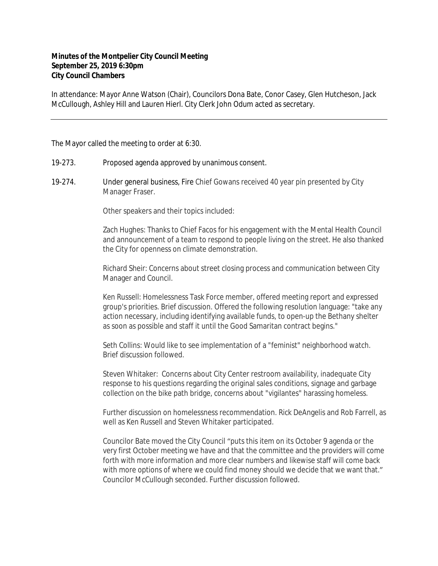## **Minutes of the Montpelier City Council Meeting September 25, 2019 6:30pm City Council Chambers**

In attendance: Mayor Anne Watson (Chair), Councilors Dona Bate, Conor Casey, Glen Hutcheson, Jack McCullough, Ashley Hill and Lauren Hierl. City Clerk John Odum acted as secretary.

The Mayor called the meeting to order at 6:30.

- 19-273. Proposed agenda approved by unanimous consent.
- 19-274. Under general business, Fire Chief Gowans received 40 year pin presented by City Manager Fraser.

Other speakers and their topics included:

Zach Hughes: Thanks to Chief Facos for his engagement with the Mental Health Council and announcement of a team to respond to people living on the street. He also thanked the City for openness on climate demonstration.

Richard Sheir: Concerns about street closing process and communication between City Manager and Council.

Ken Russell: Homelessness Task Force member, offered meeting report and expressed group's priorities. Brief discussion. Offered the following resolution language: "take any action necessary, including identifying available funds, to open-up the Bethany shelter as soon as possible and staff it until the Good Samaritan contract begins."

Seth Collins: Would like to see implementation of a "feminist" neighborhood watch. Brief discussion followed.

Steven Whitaker: Concerns about City Center restroom availability, inadequate City response to his questions regarding the original sales conditions, signage and garbage collection on the bike path bridge, concerns about "vigilantes" harassing homeless.

Further discussion on homelessness recommendation. Rick DeAngelis and Rob Farrell, as well as Ken Russell and Steven Whitaker participated.

Councilor Bate moved the City Council "puts this item on its October 9 agenda or the very first October meeting we have and that the committee and the providers will come forth with more information and more clear numbers and likewise staff will come back with more options of where we could find money should we decide that we want that." Councilor McCullough seconded. Further discussion followed.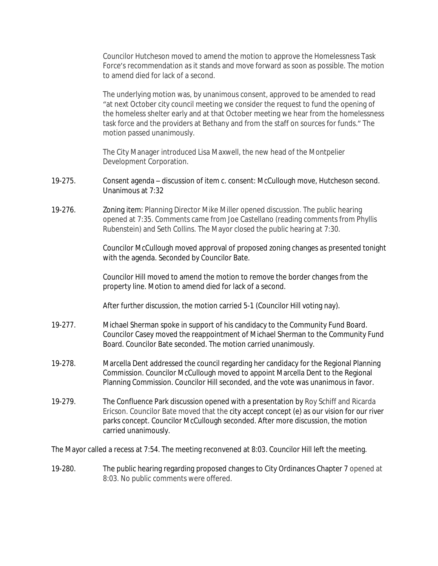Councilor Hutcheson moved to amend the motion to approve the Homelessness Task Force's recommendation as it stands and move forward as soon as possible. The motion to amend died for lack of a second.

The underlying motion was, by unanimous consent, approved to be amended to read "at next October city council meeting we consider the request to fund the opening of the homeless shelter early and at that October meeting we hear from the homelessness task force and the providers at Bethany and from the staff on sources for funds." The motion passed unanimously.

The City Manager introduced Lisa Maxwell, the new head of the Montpelier Development Corporation.

- 19-275. Consent agenda discussion of item c. consent: McCullough move, Hutcheson second. Unanimous at 7:32
- 19-276. Zoning item: Planning Director Mike Miller opened discussion. The public hearing opened at 7:35. Comments came from Joe Castellano (reading comments from Phyllis Rubenstein) and Seth Collins. The Mayor closed the public hearing at 7:30.

Councilor McCullough moved approval of proposed zoning changes as presented tonight with the agenda. Seconded by Councilor Bate.

Councilor Hill moved to amend the motion to remove the border changes from the property line. Motion to amend died for lack of a second.

After further discussion, the motion carried 5-1 (Councilor Hill voting nay).

- 19-277. Michael Sherman spoke in support of his candidacy to the Community Fund Board. Councilor Casey moved the reappointment of Michael Sherman to the Community Fund Board. Councilor Bate seconded. The motion carried unanimously.
- 19-278. Marcella Dent addressed the council regarding her candidacy for the Regional Planning Commission. Councilor McCullough moved to appoint Marcella Dent to the Regional Planning Commission. Councilor Hill seconded, and the vote was unanimous in favor.
- 19-279. The Confluence Park discussion opened with a presentation by Roy Schiff and Ricarda Ericson. Councilor Bate moved that the city accept concept (e) as our vision for our river parks concept. Councilor McCullough seconded. After more discussion, the motion carried unanimously.

The Mayor called a recess at 7:54. The meeting reconvened at 8:03. Councilor Hill left the meeting.

19-280. The public hearing regarding proposed changes to City Ordinances Chapter 7 opened at 8:03. No public comments were offered.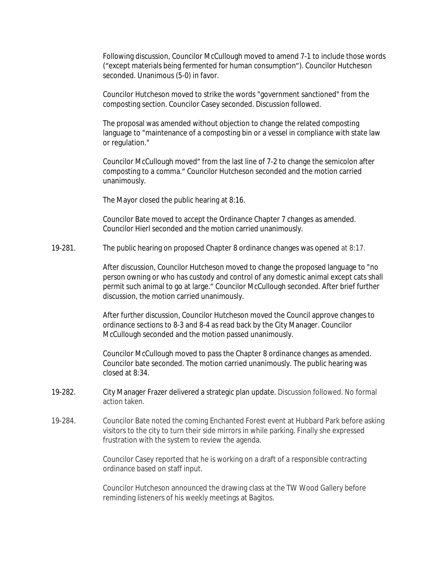Following discussion, Councilor McCullough moved to amend 7-1 to include those words ("except materials being fermented for human consumption"). Councilor Hutcheson seconded. Unanimous (5-0) in favor.

Councilor Hutcheson moved to strike the words "government sanctioned" from the composting section. Councilor Casey seconded. Discussion followed.

The proposal was amended without objection to change the related composting language to "maintenance of a composting bin or a vessel in compliance with state law or regulation."

Councilor McCullough moved" from the last line of 7-2 to change the semicolon after composting to a comma." Councilor Hutcheson seconded and the motion carried unanimously.

The Mayor closed the public hearing at 8:16.

Councilor Bate moved to accept the Ordinance Chapter 7 changes as amended. Councilor Hierl seconded and the motion carried unanimously.

19-281. The public hearing on proposed Chapter 8 ordinance changes was opened at 8:17.

After discussion, Councilor Hutcheson moved to change the proposed language to "no person owning or who has custody and control of any domestic animal except cats shall permit such animal to go at large." Councilor McCullough seconded. After brief further discussion, the motion carried unanimously.

After further discussion, Councilor Hutcheson moved the Council approve changes to ordinance sections to 8-3 and 8-4 as read back by the City Manager. Councilor McCullough seconded and the motion passed unanimously.

Councilor McCullough moved to pass the Chapter 8 ordinance changes as amended. Councilor bate seconded. The motion carried unanimously. The public hearing was closed at 8:34.

- 19-282. City Manager Frazer delivered a strategic plan update. Discussion followed. No formal action taken.
- 19-284. Councilor Bate noted the coming Enchanted Forest event at Hubbard Park before asking visitors to the city to turn their side mirrors in while parking. Finally she expressed frustration with the system to review the agenda.

Councilor Casey reported that he is working on a draft of a responsible contracting ordinance based on staff input.

Councilor Hutcheson announced the drawing class at the TW Wood Gallery before reminding listeners of his weekly meetings at Bagitos.